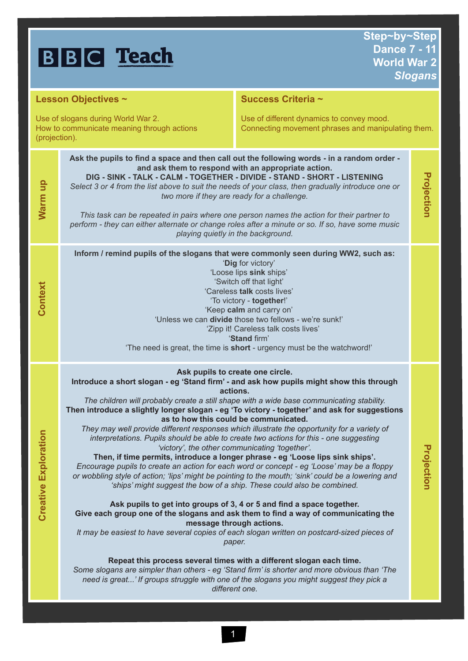|                                                                                                   | <b>BBC</b> Teach                                                                                                                                                                                                                                                                                                                                                                                                                                                                                                                                                                                                                                                                                                                                                                                                                                                                                                                                                                                                                                                                                                                                                                                                                                                                                                                                                                    | Step~by~Step<br><b>Dance 7 - 11</b><br><b>World War 2</b>                                                                                                                                                                                                                                                                                                                                                                                                                                                                                                                                                                               | <b>Slogans</b> |
|---------------------------------------------------------------------------------------------------|-------------------------------------------------------------------------------------------------------------------------------------------------------------------------------------------------------------------------------------------------------------------------------------------------------------------------------------------------------------------------------------------------------------------------------------------------------------------------------------------------------------------------------------------------------------------------------------------------------------------------------------------------------------------------------------------------------------------------------------------------------------------------------------------------------------------------------------------------------------------------------------------------------------------------------------------------------------------------------------------------------------------------------------------------------------------------------------------------------------------------------------------------------------------------------------------------------------------------------------------------------------------------------------------------------------------------------------------------------------------------------------|-----------------------------------------------------------------------------------------------------------------------------------------------------------------------------------------------------------------------------------------------------------------------------------------------------------------------------------------------------------------------------------------------------------------------------------------------------------------------------------------------------------------------------------------------------------------------------------------------------------------------------------------|----------------|
| Lesson Objectives ~                                                                               |                                                                                                                                                                                                                                                                                                                                                                                                                                                                                                                                                                                                                                                                                                                                                                                                                                                                                                                                                                                                                                                                                                                                                                                                                                                                                                                                                                                     | Success Criteria ~                                                                                                                                                                                                                                                                                                                                                                                                                                                                                                                                                                                                                      |                |
| Use of slogans during World War 2.<br>How to communicate meaning through actions<br>(projection). |                                                                                                                                                                                                                                                                                                                                                                                                                                                                                                                                                                                                                                                                                                                                                                                                                                                                                                                                                                                                                                                                                                                                                                                                                                                                                                                                                                                     | Use of different dynamics to convey mood.<br>Connecting movement phrases and manipulating them.                                                                                                                                                                                                                                                                                                                                                                                                                                                                                                                                         |                |
| Warm up                                                                                           |                                                                                                                                                                                                                                                                                                                                                                                                                                                                                                                                                                                                                                                                                                                                                                                                                                                                                                                                                                                                                                                                                                                                                                                                                                                                                                                                                                                     | Ask the pupils to find a space and then call out the following words - in a random order -<br>and ask them to respond with an appropriate action.<br>Projection<br>DIG - SINK - TALK - CALM - TOGETHER - DIVIDE - STAND - SHORT - LISTENING<br>Select 3 or 4 from the list above to suit the needs of your class, then gradually introduce one or<br>two more if they are ready for a challenge.<br>This task can be repeated in pairs where one person names the action for their partner to<br>perform - they can either alternate or change roles after a minute or so. If so, have some music<br>playing quietly in the background. |                |
| Context                                                                                           | Inform / remind pupils of the slogans that were commonly seen during WW2, such as:<br>'Dig for victory'<br>'Loose lips sink ships'<br>'Switch off that light'<br>'Careless talk costs lives'<br>'To victory - together!'<br>'Keep calm and carry on'<br>'Unless we can divide those two fellows - we're sunk!'<br>'Zipp it! Careless talk costs lives'<br>'Stand firm'<br>'The need is great, the time is short - urgency must be the watchword!'                                                                                                                                                                                                                                                                                                                                                                                                                                                                                                                                                                                                                                                                                                                                                                                                                                                                                                                                   |                                                                                                                                                                                                                                                                                                                                                                                                                                                                                                                                                                                                                                         |                |
| <b>Creative Exploration</b>                                                                       | Ask pupils to create one circle.<br>Introduce a short slogan - eg 'Stand firm' - and ask how pupils might show this through<br>actions.<br>The children will probably create a still shape with a wide base communicating stability.<br>Then introduce a slightly longer slogan - eg 'To victory - together' and ask for suggestions<br>as to how this could be communicated.<br>interpretations. Pupils should be able to create two actions for this - one suggesting<br>'victory', the other communicating 'together'.<br>Then, if time permits, introduce a longer phrase - eg 'Loose lips sink ships'.<br>Encourage pupils to create an action for each word or concept - eg 'Loose' may be a floppy<br>or wobbling style of action; 'lips' might be pointing to the mouth; 'sink' could be a lowering and<br>'ships' might suggest the bow of a ship. These could also be combined.<br>Ask pupils to get into groups of 3, 4 or 5 and find a space together.<br>Give each group one of the slogans and ask them to find a way of communicating the<br>message through actions.<br>paper.<br>Repeat this process several times with a different slogan each time.<br>Some slogans are simpler than others - eg 'Stand firm' is shorter and more obvious than 'The<br>need is great' If groups struggle with one of the slogans you might suggest they pick a<br>different one. | They may well provide different responses which illustrate the opportunity for a variety of<br>It may be easiest to have several copies of each slogan written on postcard-sized pieces of                                                                                                                                                                                                                                                                                                                                                                                                                                              | Projection     |

1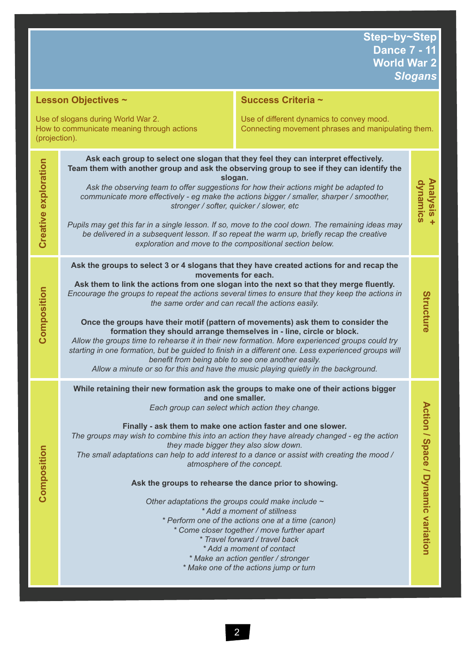| Lesson Objectives ~                                                                               |                                                                                                                                                                                                                                                                                                                                                                                                                                                                                                                                                                                                                                                                                                                                                                                                                                                                                       | Success Criteria ~                                                                                                                                                                                                                                                                                                                                                                                                                                                                                                                                                                                                                                                                                                                 |                                              |
|---------------------------------------------------------------------------------------------------|---------------------------------------------------------------------------------------------------------------------------------------------------------------------------------------------------------------------------------------------------------------------------------------------------------------------------------------------------------------------------------------------------------------------------------------------------------------------------------------------------------------------------------------------------------------------------------------------------------------------------------------------------------------------------------------------------------------------------------------------------------------------------------------------------------------------------------------------------------------------------------------|------------------------------------------------------------------------------------------------------------------------------------------------------------------------------------------------------------------------------------------------------------------------------------------------------------------------------------------------------------------------------------------------------------------------------------------------------------------------------------------------------------------------------------------------------------------------------------------------------------------------------------------------------------------------------------------------------------------------------------|----------------------------------------------|
| Use of slogans during World War 2.<br>How to communicate meaning through actions<br>(projection). |                                                                                                                                                                                                                                                                                                                                                                                                                                                                                                                                                                                                                                                                                                                                                                                                                                                                                       | Use of different dynamics to convey mood.<br>Connecting movement phrases and manipulating them.                                                                                                                                                                                                                                                                                                                                                                                                                                                                                                                                                                                                                                    |                                              |
| Creative exploration                                                                              | Ask each group to select one slogan that they feel they can interpret effectively.<br>Team them with another group and ask the observing group to see if they can identify the<br>slogan.<br>dynamics<br>Ask the observing team to offer suggestions for how their actions might be adapted to<br>communicate more effectively - eg make the actions bigger / smaller, sharper / smoother,<br>stronger / softer, quicker / slower, etc<br>Pupils may get this far in a single lesson. If so, move to the cool down. The remaining ideas may<br>be delivered in a subsequent lesson. If so repeat the warm up, briefly recap the creative<br>exploration and move to the compositional section below.                                                                                                                                                                                  |                                                                                                                                                                                                                                                                                                                                                                                                                                                                                                                                                                                                                                                                                                                                    | <b>Analysis</b>                              |
| Composition                                                                                       | Ask the groups to select 3 or 4 slogans that they have created actions for and recap the<br>movements for each.<br>Ask them to link the actions from one slogan into the next so that they merge fluently.<br>Encourage the groups to repeat the actions several times to ensure that they keep the actions in<br>the same order and can recall the actions easily.<br>Once the groups have their motif (pattern of movements) ask them to consider the<br>formation they should arrange themselves in - line, circle or block.<br>Allow the groups time to rehearse it in their new formation. More experienced groups could try<br>starting in one formation, but be guided to finish in a different one. Less experienced groups will<br>benefit from being able to see one another easily.<br>Allow a minute or so for this and have the music playing quietly in the background. |                                                                                                                                                                                                                                                                                                                                                                                                                                                                                                                                                                                                                                                                                                                                    |                                              |
| Composition                                                                                       | and one smaller.<br>Each group can select which action they change.<br>they made bigger they also slow down.<br>Ask the groups to rehearse the dance prior to showing.                                                                                                                                                                                                                                                                                                                                                                                                                                                                                                                                                                                                                                                                                                                | While retaining their new formation ask the groups to make one of their actions bigger<br>Finally - ask them to make one action faster and one slower.<br>The groups may wish to combine this into an action they have already changed - eg the action<br>The small adaptations can help to add interest to a dance or assist with creating the mood /<br>atmosphere of the concept.<br>Other adaptations the groups could make include $\sim$<br>* Add a moment of stillness<br>* Perform one of the actions one at a time (canon)<br>* Come closer together / move further apart<br>* Travel forward / travel back<br>* Add a moment of contact<br>* Make an action gentler / stronger<br>* Make one of the actions jump or turn | <b>Action /</b><br>Space / Dynamic variation |